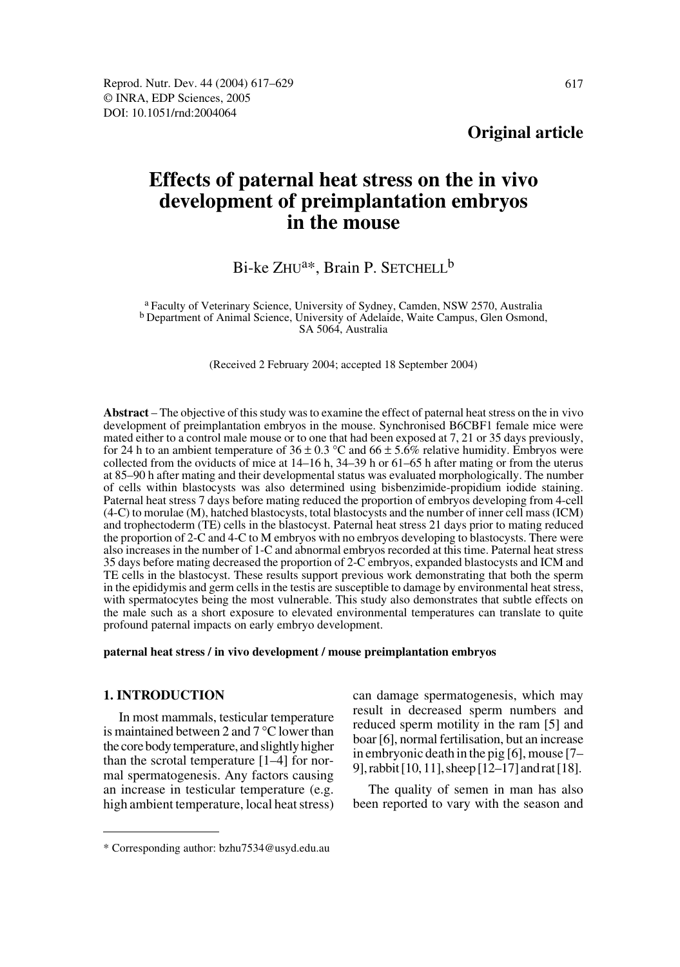# **Effects of paternal heat stress on the in vivo development of preimplantation embryos in the mouse**

# Bi-ke ZHU<sup>a\*</sup>, Brain P. SETCHELL<sup>b</sup>

a Faculty of Veterinary Science, University of Sydney, Camden, NSW 2570, Australia b Department of Animal Science, University of Adelaide, Waite Campus, Glen Osmond, SA 5064, Australia

(Received 2 February 2004; accepted 18 September 2004)

**Abstract** – The objective of this study was to examine the effect of paternal heat stress on the in vivo development of preimplantation embryos in the mouse. Synchronised B6CBF1 female mice were mated either to a control male mouse or to one that had been exposed at 7, 21 or 35 days previously, for 24 h to an ambient temperature of  $36 \pm 0.3$  °C and  $66 \pm 5.6$ % relative humidity. Embryos were collected from the oviducts of mice at 14–16 h, 34–39 h or 61–65 h after mating or from the uterus at 85–90 h after mating and their developmental status was evaluated morphologically. The number of cells within blastocysts was also determined using bisbenzimide-propidium iodide staining. Paternal heat stress 7 days before mating reduced the proportion of embryos developing from 4-cell (4-C) to morulae (M), hatched blastocysts, total blastocysts and the number of inner cell mass (ICM) and trophectoderm (TE) cells in the blastocyst. Paternal heat stress 21 days prior to mating reduced the proportion of 2-C and 4-C to M embryos with no embryos developing to blastocysts. There were also increases in the number of 1-C and abnormal embryos recorded at this time. Paternal heat stress 35 days before mating decreased the proportion of 2-C embryos, expanded blastocysts and ICM and TE cells in the blastocyst. These results support previous work demonstrating that both the sperm in the epididymis and germ cells in the testis are susceptible to damage by environmental heat stress, with spermatocytes being the most vulnerable. This study also demonstrates that subtle effects on the male such as a short exposure to elevated environmental temperatures can translate to quite profound paternal impacts on early embryo development.

#### **paternal heat stress / in vivo development / mouse preimplantation embryos**

## **1. INTRODUCTION**

In most mammals, testicular temperature is maintained between 2 and 7 °C lower than the core body temperature, and slightly higher than the scrotal temperature [1–4] for normal spermatogenesis. Any factors causing an increase in testicular temperature (e.g. high ambient temperature, local heat stress) can damage spermatogenesis, which may result in decreased sperm numbers and reduced sperm motility in the ram [5] and boar [6], normal fertilisation, but an increase in embryonic death in the pig [6], mouse [7– 9], rabbit [10, 11], sheep [12–17] and rat [18].

The quality of semen in man has also been reported to vary with the season and

<sup>\*</sup> Corresponding author: bzhu7534@usyd.edu.au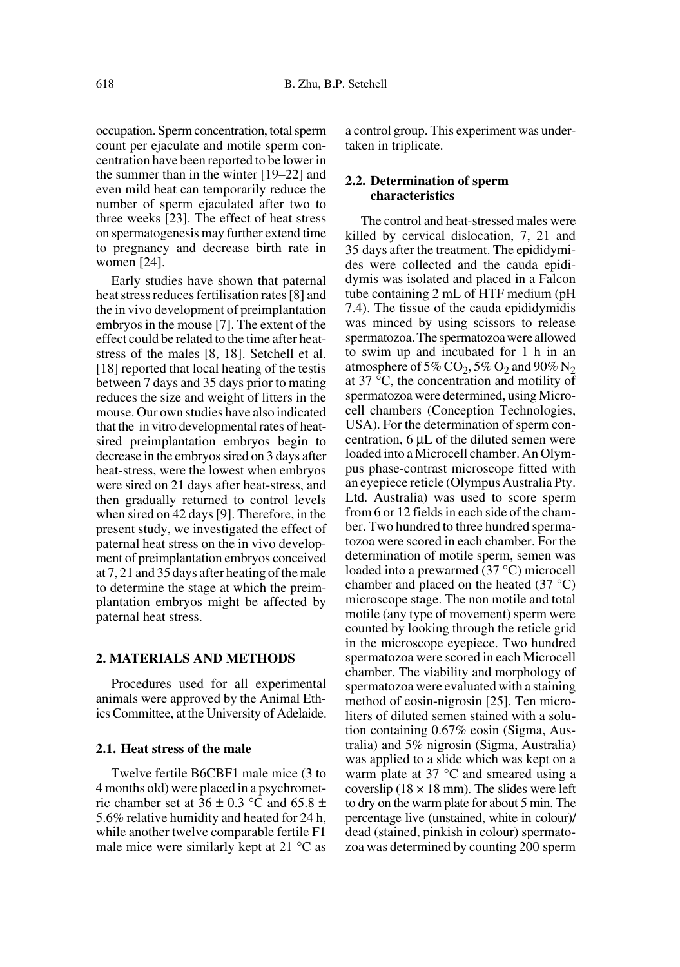occupation. Sperm concentration, total sperm count per ejaculate and motile sperm concentration have been reported to be lower in the summer than in the winter [19–22] and even mild heat can temporarily reduce the number of sperm ejaculated after two to three weeks [23]. The effect of heat stress on spermatogenesis may further extend time to pregnancy and decrease birth rate in women [24].

Early studies have shown that paternal heat stress reduces fertilisation rates [8] and the in vivo development of preimplantation embryos in the mouse [7]. The extent of the effect could be related to the time after heatstress of the males [8, 18]. Setchell et al. [18] reported that local heating of the testis between 7 days and 35 days prior to mating reduces the size and weight of litters in the mouse. Our own studies have also indicated that the in vitro developmental rates of heatsired preimplantation embryos begin to decrease in the embryos sired on 3 days after heat-stress, were the lowest when embryos were sired on 21 days after heat-stress, and then gradually returned to control levels when sired on 42 days [9]. Therefore, in the present study, we investigated the effect of paternal heat stress on the in vivo development of preimplantation embryos conceived at 7, 21 and 35 days after heating of the male to determine the stage at which the preimplantation embryos might be affected by paternal heat stress.

#### **2. MATERIALS AND METHODS**

Procedures used for all experimental animals were approved by the Animal Ethics Committee, at the University of Adelaide.

## **2.1. Heat stress of the male**

Twelve fertile B6CBF1 male mice (3 to 4 months old) were placed in a psychrometric chamber set at  $36 \pm 0.3$  °C and  $65.8 \pm$ 5.6% relative humidity and heated for 24 h, while another twelve comparable fertile F1 male mice were similarly kept at 21 °C as

a control group. This experiment was undertaken in triplicate.

## **2.2. Determination of sperm characteristics**

The control and heat-stressed males were killed by cervical dislocation, 7, 21 and 35 days after the treatment. The epididymides were collected and the cauda epididymis was isolated and placed in a Falcon tube containing 2 mL of HTF medium (pH 7.4). The tissue of the cauda epididymidis was minced by using scissors to release spermatozoa. The spermatozoa were allowed to swim up and incubated for 1 h in an atmosphere of 5% CO<sub>2</sub>, 5% O<sub>2</sub> and 90% N<sub>2</sub> at 37 °C, the concentration and motility of spermatozoa were determined, using Microcell chambers (Conception Technologies, USA). For the determination of sperm concentration, 6 µL of the diluted semen were loaded into a Microcell chamber. An Olympus phase-contrast microscope fitted with an eyepiece reticle (Olympus Australia Pty. Ltd. Australia) was used to score sperm from 6 or 12 fields in each side of the chamber. Two hundred to three hundred spermatozoa were scored in each chamber. For the determination of motile sperm, semen was loaded into a prewarmed (37 °C) microcell chamber and placed on the heated (37 °C) microscope stage. The non motile and total motile (any type of movement) sperm were counted by looking through the reticle grid in the microscope eyepiece. Two hundred spermatozoa were scored in each Microcell chamber. The viability and morphology of spermatozoa were evaluated with a staining method of eosin-nigrosin [25]. Ten microliters of diluted semen stained with a solution containing 0.67% eosin (Sigma, Australia) and 5% nigrosin (Sigma, Australia) was applied to a slide which was kept on a warm plate at 37 °C and smeared using a coverslip ( $18 \times 18$  mm). The slides were left to dry on the warm plate for about 5 min. The percentage live (unstained, white in colour)/ dead (stained, pinkish in colour) spermatozoa was determined by counting 200 sperm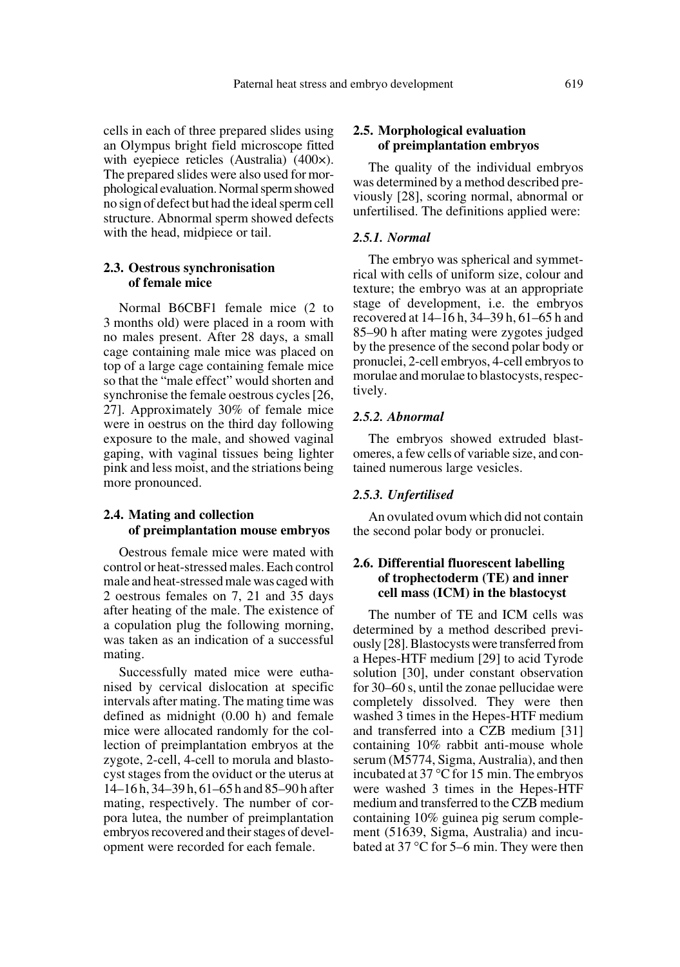cells in each of three prepared slides using an Olympus bright field microscope fitted with eyepiece reticles (Australia) (400 $\times$ ). The prepared slides were also used for morphological evaluation. Normal sperm showed no sign of defect but had the ideal sperm cell structure. Abnormal sperm showed defects with the head, midpiece or tail.

#### **2.3. Oestrous synchronisation of female mice**

Normal B6CBF1 female mice (2 to 3 months old) were placed in a room with no males present. After 28 days, a small cage containing male mice was placed on top of a large cage containing female mice so that the "male effect" would shorten and synchronise the female oestrous cycles [26, 27]. Approximately 30% of female mice were in oestrus on the third day following exposure to the male, and showed vaginal gaping, with vaginal tissues being lighter pink and less moist, and the striations being more pronounced.

### **2.4. Mating and collection of preimplantation mouse embryos**

Oestrous female mice were mated with control or heat-stressed males. Each control male and heat-stressed male was caged with 2 oestrous females on 7, 21 and 35 days after heating of the male. The existence of a copulation plug the following morning, was taken as an indication of a successful mating.

Successfully mated mice were euthanised by cervical dislocation at specific intervals after mating. The mating time was defined as midnight (0.00 h) and female mice were allocated randomly for the collection of preimplantation embryos at the zygote, 2-cell, 4-cell to morula and blastocyst stages from the oviduct or the uterus at 14–16 h, 34–39 h, 61–65 h and 85–90 h after mating, respectively. The number of corpora lutea, the number of preimplantation embryos recovered and their stages of development were recorded for each female.

## **2.5. Morphological evaluation of preimplantation embryos**

The quality of the individual embryos was determined by a method described previously [28], scoring normal, abnormal or unfertilised. The definitions applied were:

#### *2.5.1. Normal*

The embryo was spherical and symmetrical with cells of uniform size, colour and texture; the embryo was at an appropriate stage of development, i.e. the embryos recovered at 14–16 h, 34–39 h, 61–65 h and 85–90 h after mating were zygotes judged by the presence of the second polar body or pronuclei, 2-cell embryos, 4-cell embryos to morulae and morulae to blastocysts, respectively.

#### *2.5.2. Abnormal*

The embryos showed extruded blastomeres, a few cells of variable size, and contained numerous large vesicles.

#### *2.5.3. Unfertilised*

An ovulated ovum which did not contain the second polar body or pronuclei.

## **2.6. Differential fluorescent labelling of trophectoderm (TE) and inner cell mass (ICM) in the blastocyst**

The number of TE and ICM cells was determined by a method described previously [28]. Blastocysts were transferred from a Hepes-HTF medium [29] to acid Tyrode solution [30], under constant observation for 30–60 s, until the zonae pellucidae were completely dissolved. They were then washed 3 times in the Hepes-HTF medium and transferred into a CZB medium [31] containing 10% rabbit anti-mouse whole serum (M5774, Sigma, Australia), and then incubated at 37 °C for 15 min. The embryos were washed 3 times in the Hepes-HTF medium and transferred to the CZB medium containing 10% guinea pig serum complement (51639, Sigma, Australia) and incubated at 37 °C for 5–6 min. They were then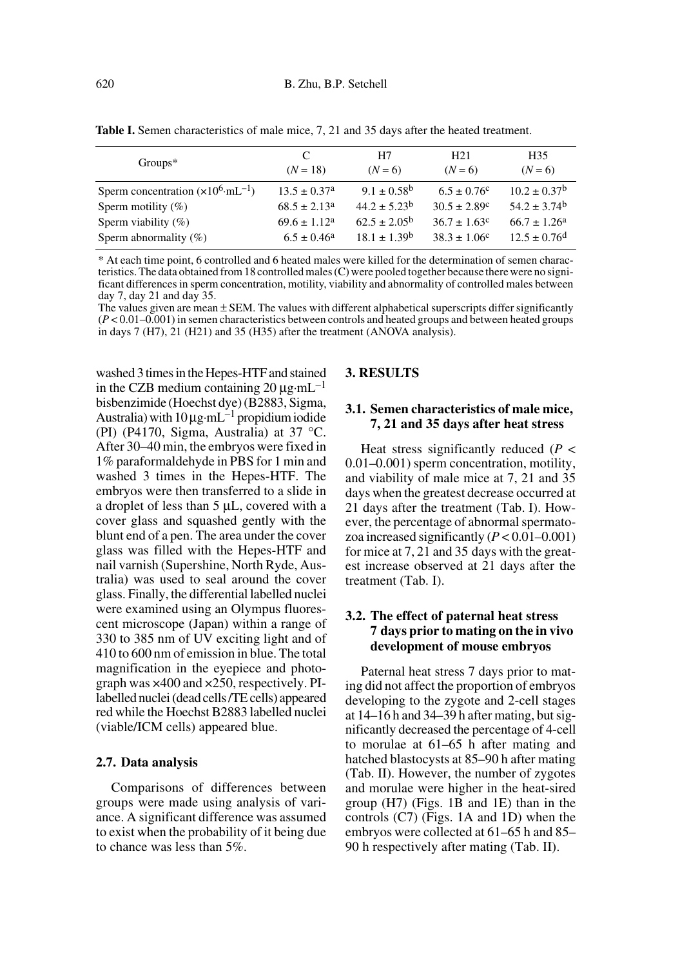| $Groups*$                                     | C<br>$(N = 18)$         | H7<br>$(N = 6)$         | H21<br>$(N = 6)$        | H <sub>35</sub><br>$(N = 6)$ |
|-----------------------------------------------|-------------------------|-------------------------|-------------------------|------------------------------|
| Sperm concentration $(x10^6 \text{·mL}^{-1})$ | $13.5 \pm 0.37^{\circ}$ | $9.1 \pm 0.58^{\rm b}$  | $6.5 \pm 0.76^c$        | $10.2 \pm 0.37^{\rm b}$      |
| Sperm motility $(\%)$                         | $68.5 \pm 2.13^a$       | $44.2 + 5.23b$          | $30.5 \pm 2.89^{\circ}$ | $54.2 \pm 3.74$ <sup>b</sup> |
| Sperm viability $(\%)$                        | $69.6 \pm 1.12^a$       | $62.5 \pm 2.05^{\rm b}$ | $36.7 \pm 1.63^c$       | $66.7 \pm 1.26^a$            |
| Sperm abnormality $(\%)$                      | $6.5 \pm 0.46^a$        | $18.1 + 1.39^b$         | $38.3 + 1.06^c$         | $12.5 \pm 0.76$ <sup>d</sup> |

Table I. Semen characteristics of male mice, 7, 21 and 35 days after the heated treatment.

\* At each time point, 6 controlled and 6 heated males were killed for the determination of semen characteristics. The data obtained from 18 controlled males (C) were pooled together because there were no significant differences in sperm concentration, motility, viability and abnormality of controlled males between day 7, day 21 and day 35.

The values given are mean  $\pm$  SEM. The values with different alphabetical superscripts differ significantly (*P* < 0.01–0.001) in semen characteristics between controls and heated groups and between heated groups in days 7 (H7), 21 (H21) and 35 (H35) after the treatment (ANOVA analysis).

washed 3 times in the Hepes-HTF and stained in the CZB medium containing 20  $\mu$ g·mL<sup>-1</sup> bisbenzimide (Hoechst dye) (B2883, Sigma, Australia) with  $10 \mu$ g·mL<sup>-1</sup> propidium iodide (PI) (P4170, Sigma, Australia) at 37 °C. After 30–40 min, the embryos were fixed in 1% paraformaldehyde in PBS for 1 min and washed 3 times in the Hepes-HTF. The embryos were then transferred to a slide in a droplet of less than 5 µL, covered with a cover glass and squashed gently with the blunt end of a pen. The area under the cover glass was filled with the Hepes-HTF and nail varnish (Supershine, North Ryde, Australia) was used to seal around the cover glass. Finally, the differential labelled nuclei were examined using an Olympus fluorescent microscope (Japan) within a range of 330 to 385 nm of UV exciting light and of 410 to 600 nm of emission in blue. The total magnification in the eyepiece and photograph was ×400 and ×250, respectively. PIlabelled nuclei (dead cells /TE cells) appeared red while the Hoechst B2883 labelled nuclei (viable/ICM cells) appeared blue.

#### **2.7. Data analysis**

Comparisons of differences between groups were made using analysis of variance. A significant difference was assumed to exist when the probability of it being due to chance was less than 5%.

#### **3. RESULTS**

## **3.1. Semen characteristics of male mice, 7, 21 and 35 days after heat stress**

Heat stress significantly reduced (*P* < 0.01–0.001) sperm concentration, motility, and viability of male mice at 7, 21 and 35 days when the greatest decrease occurred at 21 days after the treatment (Tab. I). However, the percentage of abnormal spermatozoa increased significantly (*P* < 0.01–0.001) for mice at 7, 21 and 35 days with the greatest increase observed at 21 days after the treatment (Tab. I).

# **3.2. The effect of paternal heat stress 7 days prior to mating on the in vivo development of mouse embryos**

Paternal heat stress 7 days prior to mating did not affect the proportion of embryos developing to the zygote and 2-cell stages at 14–16 h and 34–39 h after mating, but significantly decreased the percentage of 4-cell to morulae at 61–65 h after mating and hatched blastocysts at 85–90 h after mating (Tab. II). However, the number of zygotes and morulae were higher in the heat-sired group (H7) (Figs. 1B and 1E) than in the controls (C7) (Figs. 1A and 1D) when the embryos were collected at 61–65 h and 85– 90 h respectively after mating (Tab. II).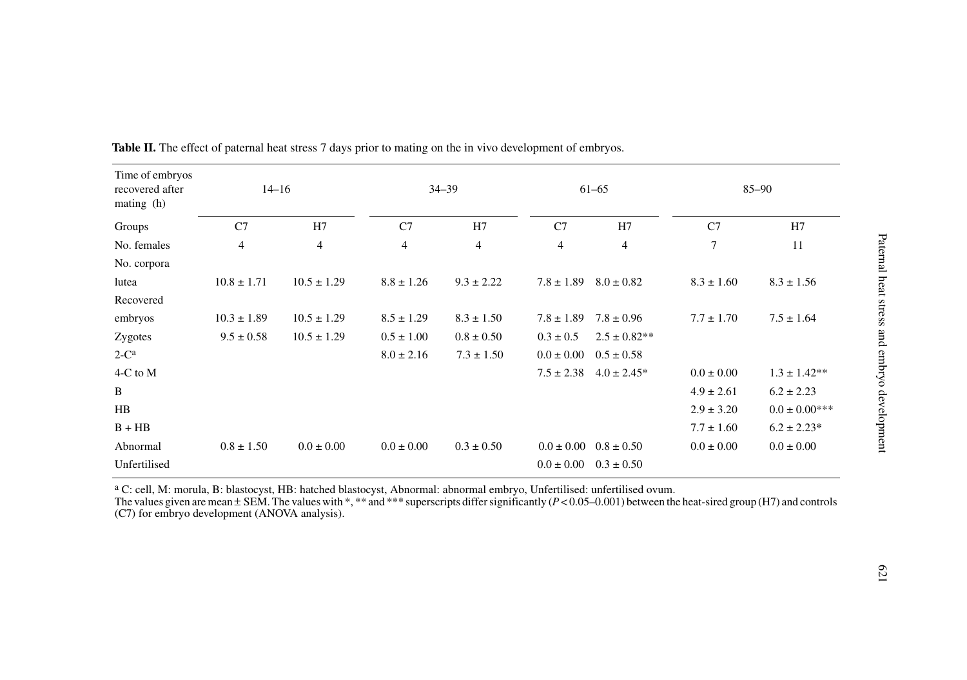| Time of embryos<br>recovered after<br>mating $(h)$ | $14 - 16$       |                 | $34 - 39$      |                | $61 - 65$      |                  | $85 - 90$      |                    |
|----------------------------------------------------|-----------------|-----------------|----------------|----------------|----------------|------------------|----------------|--------------------|
| Groups                                             | C7              | H7              | C7             | H7             | C7             | H7               | C7             | H7                 |
| No. females                                        | $\overline{4}$  | $\overline{4}$  | $\overline{4}$ | $\overline{4}$ | $\overline{4}$ | $\overline{4}$   | 7              | 11                 |
| No. corpora                                        |                 |                 |                |                |                |                  |                |                    |
| lutea                                              | $10.8 \pm 1.71$ | $10.5 \pm 1.29$ | $8.8 \pm 1.26$ | $9.3 \pm 2.22$ | $7.8 \pm 1.89$ | $8.0 \pm 0.82$   | $8.3 \pm 1.60$ | $8.3 \pm 1.56$     |
| Recovered                                          |                 |                 |                |                |                |                  |                |                    |
| embryos                                            | $10.3 \pm 1.89$ | $10.5 \pm 1.29$ | $8.5 \pm 1.29$ | $8.3 \pm 1.50$ | $7.8 \pm 1.89$ | $7.8 \pm 0.96$   | $7.7 \pm 1.70$ | $7.5 \pm 1.64$     |
| Zygotes                                            | $9.5 \pm 0.58$  | $10.5 \pm 1.29$ | $0.5 \pm 1.00$ | $0.8 \pm 0.50$ | $0.3 \pm 0.5$  | $2.5 \pm 0.82**$ |                |                    |
| $2-Ca$                                             |                 |                 | $8.0 \pm 2.16$ | $7.3 \pm 1.50$ | $0.0 \pm 0.00$ | $0.5 \pm 0.58$   |                |                    |
| 4-C to M                                           |                 |                 |                |                | $7.5 \pm 2.38$ | $4.0 \pm 2.45*$  | $0.0 \pm 0.00$ | $1.3 \pm 1.42**$   |
| B                                                  |                 |                 |                |                |                |                  | $4.9 \pm 2.61$ | $6.2 \pm 2.23$     |
| HB                                                 |                 |                 |                |                |                |                  | $2.9 \pm 3.20$ | $0.0 \pm 0.00$ *** |
| $B + HB$                                           |                 |                 |                |                |                |                  | $7.7 \pm 1.60$ | $6.2 \pm 2.23*$    |
| Abnormal                                           | $0.8 \pm 1.50$  | $0.0 \pm 0.00$  | $0.0 \pm 0.00$ | $0.3 \pm 0.50$ | $0.0 \pm 0.00$ | $0.8 \pm 0.50$   | $0.0 \pm 0.00$ | $0.0 \pm 0.00$     |
| Unfertilised                                       |                 |                 |                |                | $0.0 \pm 0.00$ | $0.3 \pm 0.50$   |                |                    |

**Table II.** The effect of paternal heat stress 7 days prior to mating on the in vivo development of embryos.

 $\rm ^a$  C: cell, M: morula, B: blastocyst, HB: hatched blastocyst, Abnormal: abnormal embryo, Unfertilised: unfertilised ovum.

The values given are mean ± SEM. The values with \*, \*\* and \*\*\* superscripts differ significantly (*P* < 0.05–0.001) between the heat-sired group (H7) and controls (C7) for embryo development (ANOVA analysis).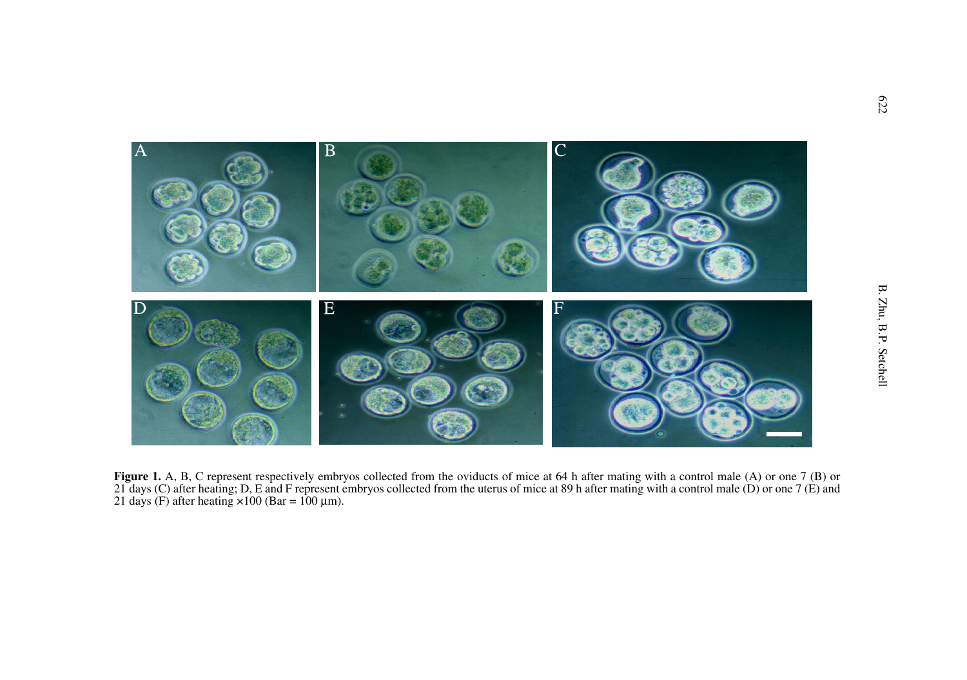

**Figure 1.** A, B, C represent respectively embryos collected from the oviducts of mice at 64 h after mating with a control male (A) or one 7 (B) or 21 days (C) after heating; D, E and F represent embryos collected from the uterus of mice at 89 h after mating with a control male (D) or one 7 (E) and 21 days (F) after heating  $\times 100$  (Bar = 100 µm).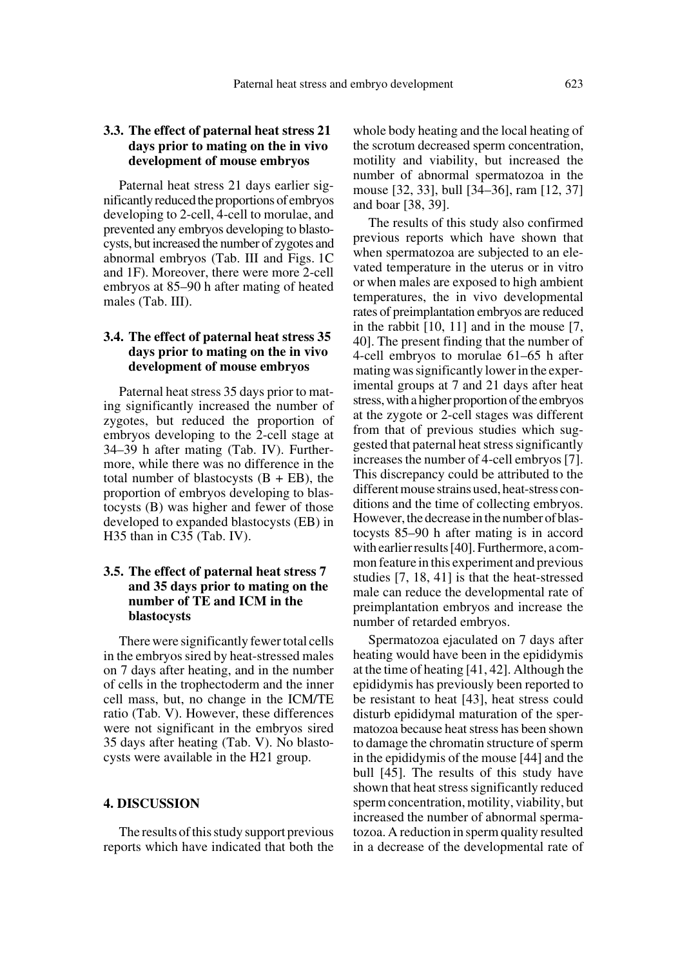# **3.3. The effect of paternal heat stress 21 days prior to mating on the in vivo development of mouse embryos**

Paternal heat stress 21 days earlier significantly reduced the proportions of embryos developing to 2-cell, 4-cell to morulae, and prevented any embryos developing to blastocysts, but increased the number of zygotes and abnormal embryos (Tab. III and Figs. 1C and 1F). Moreover, there were more 2-cell embryos at 85–90 h after mating of heated males (Tab. III).

# **3.4. The effect of paternal heat stress 35 days prior to mating on the in vivo development of mouse embryos**

Paternal heat stress 35 days prior to mating significantly increased the number of zygotes, but reduced the proportion of embryos developing to the 2-cell stage at 34–39 h after mating (Tab. IV). Furthermore, while there was no difference in the total number of blastocysts  $(B + EB)$ , the proportion of embryos developing to blastocysts (B) was higher and fewer of those developed to expanded blastocysts (EB) in H35 than in C35 (Tab. IV).

# **3.5. The effect of paternal heat stress 7 and 35 days prior to mating on the number of TE and ICM in the blastocysts**

There were significantly fewer total cells in the embryos sired by heat-stressed males on 7 days after heating, and in the number of cells in the trophectoderm and the inner cell mass, but, no change in the ICM/TE ratio (Tab. V). However, these differences were not significant in the embryos sired 35 days after heating (Tab. V). No blastocysts were available in the H21 group.

#### **4. DISCUSSION**

The results of this study support previous reports which have indicated that both the whole body heating and the local heating of the scrotum decreased sperm concentration, motility and viability, but increased the number of abnormal spermatozoa in the mouse [32, 33], bull [34–36], ram [12, 37] and boar [38, 39].

The results of this study also confirmed previous reports which have shown that when spermatozoa are subjected to an elevated temperature in the uterus or in vitro or when males are exposed to high ambient temperatures, the in vivo developmental rates of preimplantation embryos are reduced in the rabbit [10, 11] and in the mouse [7, 40]. The present finding that the number of 4-cell embryos to morulae 61–65 h after mating was significantly lower in the experimental groups at 7 and 21 days after heat stress, with a higher proportion of the embryos at the zygote or 2-cell stages was different from that of previous studies which suggested that paternal heat stress significantly increases the number of 4-cell embryos [7]. This discrepancy could be attributed to the different mouse strains used, heat-stress conditions and the time of collecting embryos. However, the decrease in the number of blastocysts 85–90 h after mating is in accord with earlier results [40]. Furthermore, a common feature in this experiment and previous studies [7, 18, 41] is that the heat-stressed male can reduce the developmental rate of preimplantation embryos and increase the number of retarded embryos.

Spermatozoa ejaculated on 7 days after heating would have been in the epididymis at the time of heating [41, 42]. Although the epididymis has previously been reported to be resistant to heat [43], heat stress could disturb epididymal maturation of the spermatozoa because heat stress has been shown to damage the chromatin structure of sperm in the epididymis of the mouse [44] and the bull [45]. The results of this study have shown that heat stress significantly reduced sperm concentration, motility, viability, but increased the number of abnormal spermatozoa. A reduction in sperm quality resulted in a decrease of the developmental rate of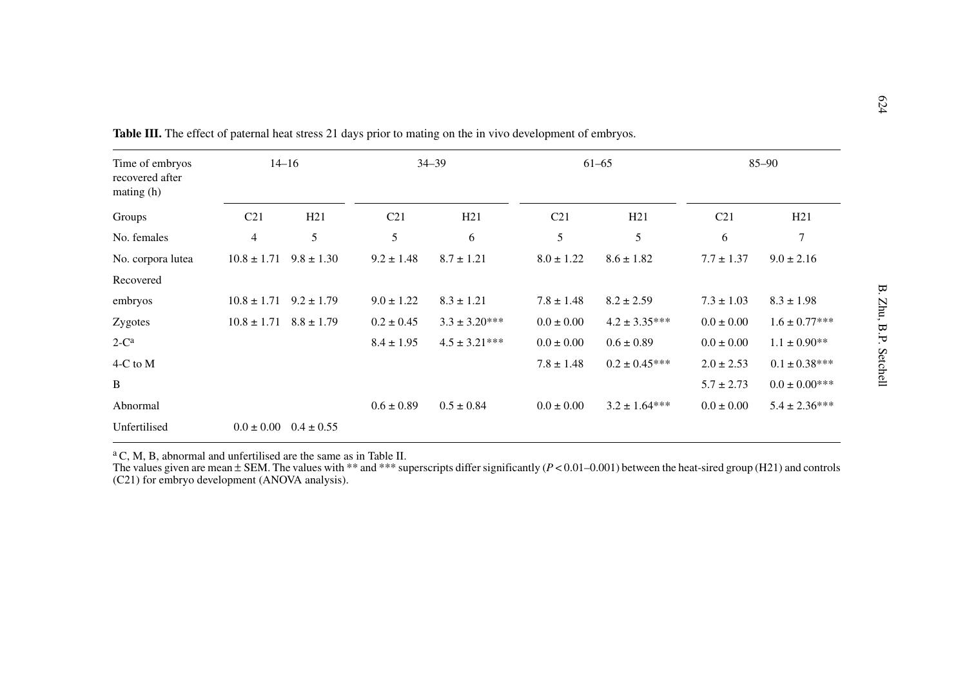| Time of embryos<br>recovered after<br>mating(h) | $14 - 16$                      |                | $34 - 39$       |                   | $61 - 65$       |                   | $85 - 90$       |                   |
|-------------------------------------------------|--------------------------------|----------------|-----------------|-------------------|-----------------|-------------------|-----------------|-------------------|
| Groups                                          | C <sub>21</sub>                | H21            | C <sub>21</sub> | H21               | C <sub>21</sub> | H21               | C <sub>21</sub> | H21               |
| No. females                                     | $\overline{4}$                 | 5              | 5               | 6                 | 5               | 5                 | 6               | 7                 |
| No. corpora lutea                               | $10.8 \pm 1.71$                | $9.8 \pm 1.30$ | $9.2 \pm 1.48$  | $8.7 \pm 1.21$    | $8.0 \pm 1.22$  | $8.6 \pm 1.82$    | $7.7 \pm 1.37$  | $9.0 \pm 2.16$    |
| Recovered                                       |                                |                |                 |                   |                 |                   |                 |                   |
| embryos                                         | $10.8 \pm 1.71$                | $9.2 \pm 1.79$ | $9.0 \pm 1.22$  | $8.3 \pm 1.21$    | $7.8 \pm 1.48$  | $8.2 \pm 2.59$    | $7.3 \pm 1.03$  | $8.3 \pm 1.98$    |
| Zygotes                                         | $10.8 \pm 1.71$ $8.8 \pm 1.79$ |                | $0.2 \pm 0.45$  | $3.3 \pm 3.20***$ | $0.0 \pm 0.00$  | $4.2 \pm 3.35***$ | $0.0 \pm 0.00$  | $1.6\pm0.77***$   |
| $2-Ca$                                          |                                |                | $8.4 \pm 1.95$  | $4.5 \pm 3.21***$ | $0.0 \pm 0.00$  | $0.6 \pm 0.89$    | $0.0 \pm 0.00$  | $1.1 \pm 0.90**$  |
| 4-C to M                                        |                                |                |                 |                   | $7.8 \pm 1.48$  | $0.2 \pm 0.45***$ | $2.0 \pm 2.53$  | $0.1 \pm 0.38***$ |
| B                                               |                                |                |                 |                   |                 |                   | $5.7 \pm 2.73$  | $0.0\pm0.00***$   |
| Abnormal                                        |                                |                | $0.6 \pm 0.89$  | $0.5 \pm 0.84$    | $0.0 \pm 0.00$  | $3.2 \pm 1.64***$ | $0.0 \pm 0.00$  | $5.4 \pm 2.36***$ |
| Unfertilised                                    | $0.0 \pm 0.00$                 | $0.4 \pm 0.55$ |                 |                   |                 |                   |                 |                   |

a C, M, B, abnormal and unfertilised are the same as in Table II.

The values given are mean  $\pm$  SEM. The values with \*\* and \*\*\* superscripts differ significantly (*P* < 0.01–0.001) between the heat-sired group (H21) and controls (C21) for embryo development (ANOVA analysis).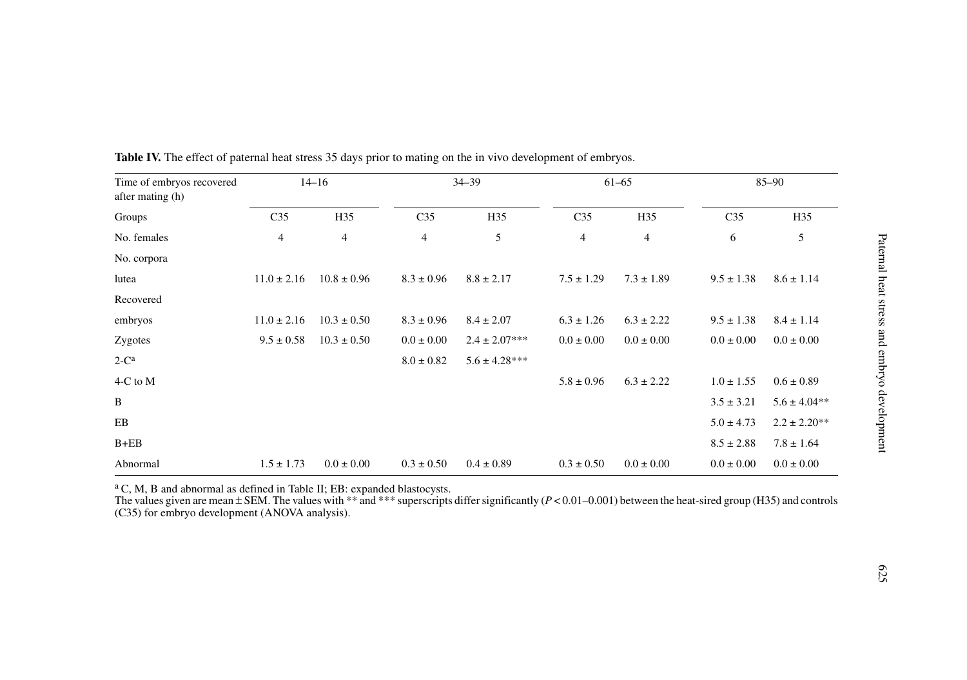| Time of embryos recovered<br>after mating (h) |                 | $14 - 16$       |                 | $34 - 39$         |                 | $61 - 65$      |                 | $85 - 90$        |
|-----------------------------------------------|-----------------|-----------------|-----------------|-------------------|-----------------|----------------|-----------------|------------------|
| Groups                                        | C <sub>35</sub> | H35             | C <sub>35</sub> | H35               | C <sub>35</sub> | H35            | C <sub>35</sub> | H35              |
| No. females                                   | 4               | 4               | 4               | 5                 | 4               | $\overline{4}$ | 6               | 5                |
| No. corpora                                   |                 |                 |                 |                   |                 |                |                 |                  |
| lutea                                         | $11.0 \pm 2.16$ | $10.8 \pm 0.96$ | $8.3 \pm 0.96$  | $8.8 \pm 2.17$    | $7.5 \pm 1.29$  | $7.3 \pm 1.89$ | $9.5 \pm 1.38$  | $8.6 \pm 1.14$   |
| Recovered                                     |                 |                 |                 |                   |                 |                |                 |                  |
| embryos                                       | $11.0 \pm 2.16$ | $10.3 \pm 0.50$ | $8.3 \pm 0.96$  | $8.4 \pm 2.07$    | $6.3 \pm 1.26$  | $6.3 \pm 2.22$ | $9.5 \pm 1.38$  | $8.4 \pm 1.14$   |
| Zygotes                                       | $9.5 \pm 0.58$  | $10.3 \pm 0.50$ | $0.0 \pm 0.00$  | $2.4 \pm 2.07***$ | $0.0 \pm 0.00$  | $0.0 \pm 0.00$ | $0.0 \pm 0.00$  | $0.0 \pm 0.00$   |
| $2-Ca$                                        |                 |                 | $8.0 \pm 0.82$  | $5.6 \pm 4.28***$ |                 |                |                 |                  |
| 4-C to M                                      |                 |                 |                 |                   | $5.8 \pm 0.96$  | $6.3 \pm 2.22$ | $1.0 \pm 1.55$  | $0.6 \pm 0.89$   |
| B                                             |                 |                 |                 |                   |                 |                | $3.5 \pm 3.21$  | $5.6 \pm 4.04**$ |
| EB                                            |                 |                 |                 |                   |                 |                | $5.0 \pm 4.73$  | $2.2 \pm 2.20**$ |
| $B + EB$                                      |                 |                 |                 |                   |                 |                | $8.5 \pm 2.88$  | $7.8 \pm 1.64$   |
| Abnormal                                      | $1.5 \pm 1.73$  | $0.0 \pm 0.00$  | $0.3 \pm 0.50$  | $0.4 \pm 0.89$    | $0.3 \pm 0.50$  | $0.0 \pm 0.00$ | $0.0 \pm 0.00$  | $0.0 \pm 0.00$   |

**Table IV.** The effect of paternal heat stress 35 days prior to mating on the in vivo development of embryos.

<sup>a</sup> C, M, B and abnormal as defined in Table II; EB: expanded blastocysts.

The values given are mean ± SEM. The values with \*\* and \*\*\* superscripts differ significantly (*P* < 0.01–0.001) between the heat-sired group (H35) and controls (C35) for embryo development (ANOVA analysis).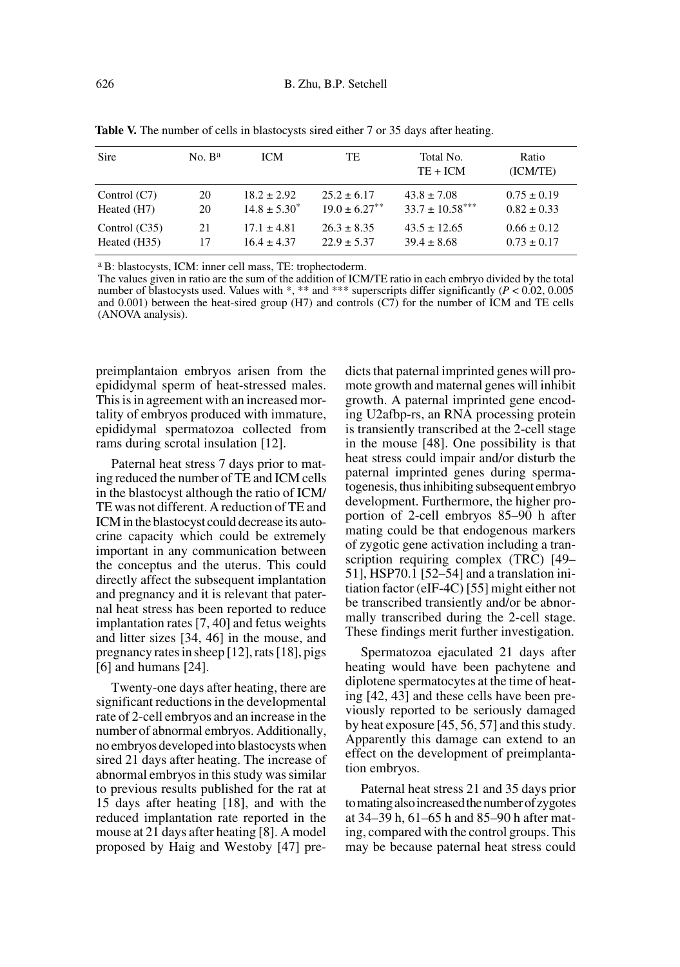| Sire            | No. B <sup>a</sup> | <b>ICM</b>        | TE.                | Total No.<br>$TE + ICM$ | Ratio<br>(ICM/TE) |
|-----------------|--------------------|-------------------|--------------------|-------------------------|-------------------|
| Control $(C7)$  | 20                 | $18.2 \pm 2.92$   | $25.2 \pm 6.17$    | $43.8 \pm 7.08$         | $0.75 \pm 0.19$   |
| Heated (H7)     | 20                 | $14.8 \pm 5.30^*$ | $19.0 \pm 6.27$ ** | $33.7 \pm 10.58***$     | $0.82 \pm 0.33$   |
| Control $(C35)$ | 21                 | $17.1 \pm 4.81$   | $26.3 \pm 8.35$    | $43.5 \pm 12.65$        | $0.66 \pm 0.12$   |
| Heated (H35)    | 17                 | $16.4 \pm 4.37$   | $22.9 \pm 5.37$    | $39.4 \pm 8.68$         | $0.73 \pm 0.17$   |

Table V. The number of cells in blastocysts sired either 7 or 35 days after heating.

a B: blastocysts, ICM: inner cell mass, TE: trophectoderm.

The values given in ratio are the sum of the addition of ICM/TE ratio in each embryo divided by the total number of blastocysts used. Values with \*, \*\* and \*\*\* superscripts differ significantly (*P* < 0.02, 0.005) and 0.001) between the heat-sired group (H7) and controls (C7) for the number of ICM and TE cells (ANOVA analysis).

preimplantaion embryos arisen from the epididymal sperm of heat-stressed males. This is in agreement with an increased mortality of embryos produced with immature, epididymal spermatozoa collected from rams during scrotal insulation [12].

Paternal heat stress 7 days prior to mating reduced the number of TE and ICM cells in the blastocyst although the ratio of ICM/ TE was not different. A reduction of TE and ICM in the blastocyst could decrease its autocrine capacity which could be extremely important in any communication between the conceptus and the uterus. This could directly affect the subsequent implantation and pregnancy and it is relevant that paternal heat stress has been reported to reduce implantation rates [7, 40] and fetus weights and litter sizes [34, 46] in the mouse, and pregnancy rates in sheep [12], rats [18], pigs [6] and humans [24].

Twenty-one days after heating, there are significant reductions in the developmental rate of 2-cell embryos and an increase in the number of abnormal embryos. Additionally, no embryos developed into blastocysts when sired 21 days after heating. The increase of abnormal embryos in this study was similar to previous results published for the rat at 15 days after heating [18], and with the reduced implantation rate reported in the mouse at 21 days after heating [8]. A model proposed by Haig and Westoby [47] predicts that paternal imprinted genes will promote growth and maternal genes will inhibit growth. A paternal imprinted gene encoding U2afbp-rs, an RNA processing protein is transiently transcribed at the 2-cell stage in the mouse [48]. One possibility is that heat stress could impair and/or disturb the paternal imprinted genes during spermatogenesis, thus inhibiting subsequent embryo development. Furthermore, the higher proportion of 2-cell embryos 85–90 h after mating could be that endogenous markers of zygotic gene activation including a transcription requiring complex (TRC) [49– 51], HSP70.1 [52–54] and a translation initiation factor (eIF-4C) [55] might either not be transcribed transiently and/or be abnormally transcribed during the 2-cell stage. These findings merit further investigation.

Spermatozoa ejaculated 21 days after heating would have been pachytene and diplotene spermatocytes at the time of heating [42, 43] and these cells have been previously reported to be seriously damaged by heat exposure [45, 56, 57] and this study. Apparently this damage can extend to an effect on the development of preimplantation embryos.

Paternal heat stress 21 and 35 days prior to mating also increased the number of zygotes at 34–39 h, 61–65 h and 85–90 h after mating, compared with the control groups. This may be because paternal heat stress could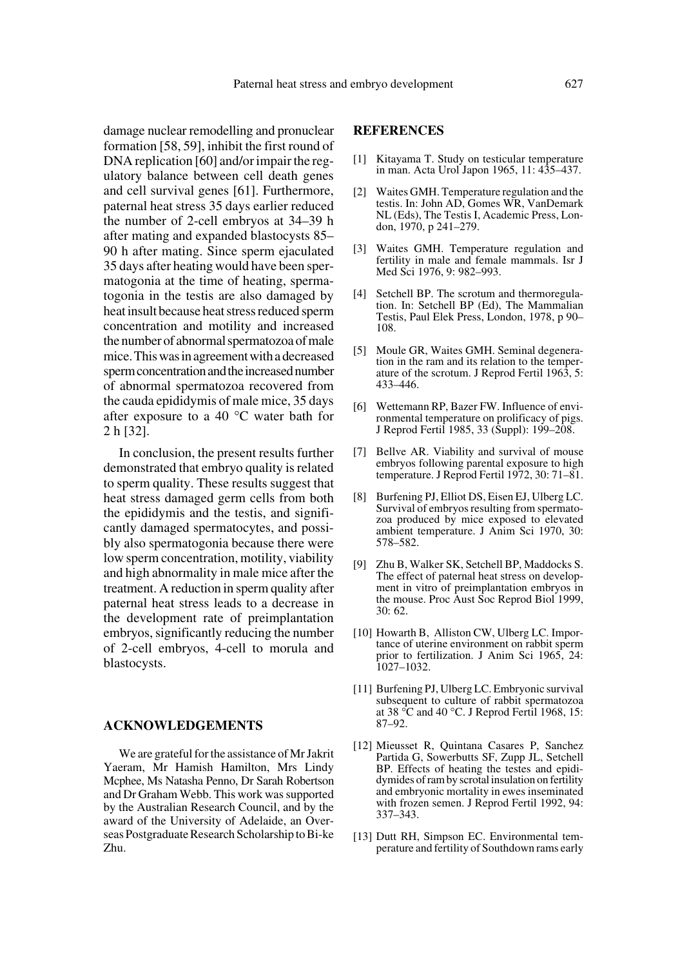damage nuclear remodelling and pronuclear formation [58, 59], inhibit the first round of DNA replication [60] and/or impair the regulatory balance between cell death genes and cell survival genes [61]. Furthermore, paternal heat stress 35 days earlier reduced the number of 2-cell embryos at 34–39 h after mating and expanded blastocysts 85– 90 h after mating. Since sperm ejaculated 35 days after heating would have been spermatogonia at the time of heating, spermatogonia in the testis are also damaged by heat insult because heat stress reduced sperm concentration and motility and increased the number of abnormal spermatozoa of male mice. This was in agreement with a decreased sperm concentration and the increased number of abnormal spermatozoa recovered from the cauda epididymis of male mice, 35 days after exposure to a 40 °C water bath for 2 h [32].

In conclusion, the present results further demonstrated that embryo quality is related to sperm quality. These results suggest that heat stress damaged germ cells from both the epididymis and the testis, and significantly damaged spermatocytes, and possibly also spermatogonia because there were low sperm concentration, motility, viability and high abnormality in male mice after the treatment. A reduction in sperm quality after paternal heat stress leads to a decrease in the development rate of preimplantation embryos, significantly reducing the number of 2-cell embryos, 4-cell to morula and blastocysts.

#### **ACKNOWLEDGEMENTS**

We are grateful for the assistance of Mr Jakrit Yaeram, Mr Hamish Hamilton, Mrs Lindy Mcphee, Ms Natasha Penno, Dr Sarah Robertson and Dr Graham Webb. This work was supported by the Australian Research Council, and by the award of the University of Adelaide, an Overseas Postgraduate Research Scholarship to Bi-ke Zhu.

# **REFERENCES**

- [1] Kitayama T. Study on testicular temperature in man. Acta Urol Japon 1965, 11: 435–437.
- [2] Waites GMH. Temperature regulation and the testis. In: John AD, Gomes WR, VanDemark NL (Eds), The Testis I, Academic Press, London, 1970, p 241–279.
- [3] Waites GMH. Temperature regulation and fertility in male and female mammals. Isr J Med Sci 1976, 9: 982–993.
- [4] Setchell BP. The scrotum and thermoregulation. In: Setchell BP (Ed), The Mammalian Testis, Paul Elek Press, London, 1978, p 90– 108.
- [5] Moule GR, Waites GMH. Seminal degeneration in the ram and its relation to the temperature of the scrotum. J Reprod Fertil 1963, 5: 433–446.
- [6] Wettemann RP, Bazer FW. Influence of environmental temperature on prolificacy of pigs. J Reprod Fertil 1985, 33 (Suppl): 199–208.
- [7] Bellve AR. Viability and survival of mouse embryos following parental exposure to high temperature. J Reprod Fertil 1972, 30: 71–81.
- [8] Burfening PJ, Elliot DS, Eisen EJ, Ulberg LC. Survival of embryos resulting from spermatozoa produced by mice exposed to elevated ambient temperature. J Anim Sci 1970, 30: 578–582.
- [9] Zhu B, Walker SK, Setchell BP, Maddocks S. The effect of paternal heat stress on development in vitro of preimplantation embryos in the mouse. Proc Aust Soc Reprod Biol 1999, 30: 62.
- [10] Howarth B, Alliston CW, Ulberg LC. Importance of uterine environment on rabbit sperm prior to fertilization. J Anim Sci 1965, 24: 1027–1032.
- [11] Burfening PJ, Ulberg LC. Embryonic survival subsequent to culture of rabbit spermatozoa at 38 $\degree$ C and 40 $\degree$ C. J Reprod Fertil 1968, 15: 87–92.
- [12] Mieusset R, Quintana Casares P, Sanchez Partida G, Sowerbutts SF, Zupp JL, Setchell BP. Effects of heating the testes and epididymides of ram by scrotal insulation on fertility and embryonic mortality in ewes inseminated with frozen semen. J Reprod Fertil 1992, 94: 337–343.
- [13] Dutt RH, Simpson EC. Environmental temperature and fertility of Southdown rams early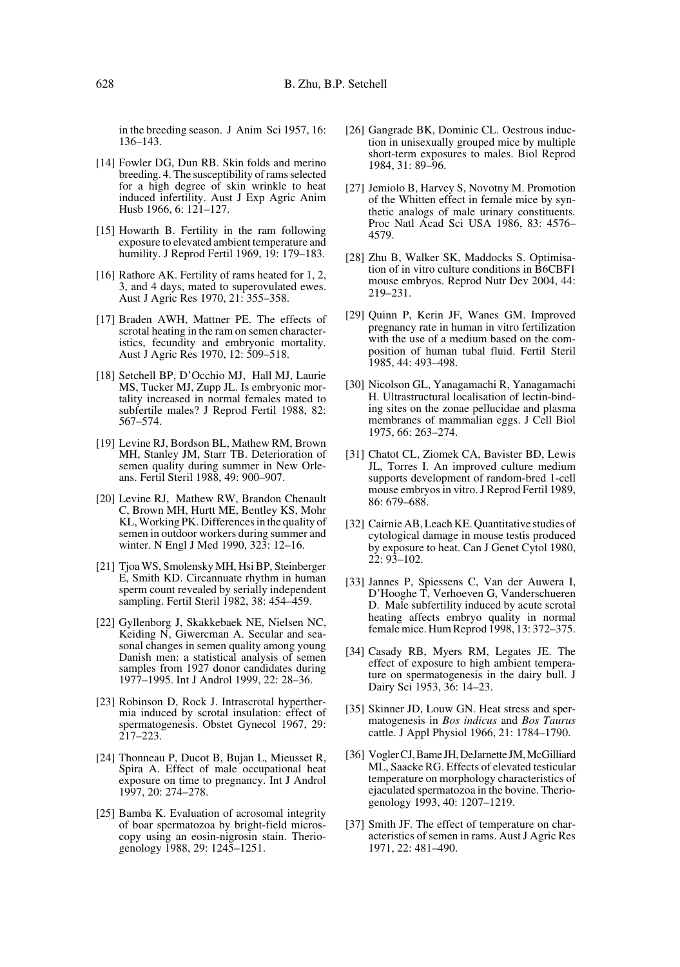in the breeding season. J Anim Sci 1957, 16: 136–143.

- [14] Fowler DG, Dun RB. Skin folds and merino breeding. 4. The susceptibility of rams selected for a high degree of skin wrinkle to heat induced infertility. Aust J Exp Agric Anim Husb 1966, 6: 121–127.
- [15] Howarth B. Fertility in the ram following exposure to elevated ambient temperature and humility. J Reprod Fertil 1969, 19: 179–183.
- [16] Rathore AK. Fertility of rams heated for 1, 2, 3, and 4 days, mated to superovulated ewes. Aust J Agric Res 1970, 21: 355–358.
- [17] Braden AWH, Mattner PE. The effects of scrotal heating in the ram on semen characteristics, fecundity and embryonic mortality. Aust J Agric Res 1970, 12: 509–518.
- [18] Setchell BP, D'Occhio MJ, Hall MJ, Laurie MS, Tucker MJ, Zupp JL. Is embryonic mortality increased in normal females mated to subfertile males? J Reprod Fertil 1988, 82: 567–574.
- [19] Levine RJ, Bordson BL, Mathew RM, Brown MH, Stanley JM, Starr TB. Deterioration of semen quality during summer in New Orleans. Fertil Steril 1988, 49: 900–907.
- [20] Levine RJ, Mathew RW, Brandon Chenault C, Brown MH, Hurtt ME, Bentley KS, Mohr KL, Working PK. Differences in the quality of semen in outdoor workers during summer and winter. N Engl J Med 1990, 323: 12–16.
- [21] Tjoa WS, Smolensky MH, Hsi BP, Steinberger E, Smith KD. Circannuate rhythm in human sperm count revealed by serially independent sampling. Fertil Steril 1982, 38: 454–459.
- [22] Gyllenborg J, Skakkebaek NE, Nielsen NC, Keiding N, Giwercman A. Secular and seasonal changes in semen quality among young Danish men: a statistical analysis of semen samples from 1927 donor candidates during 1977–1995. Int J Androl 1999, 22: 28–36.
- [23] Robinson D, Rock J. Intrascrotal hyperthermia induced by scrotal insulation: effect of spermatogenesis. Obstet Gynecol 1967, 29: 217–223.
- [24] Thonneau P, Ducot B, Bujan L, Mieusset R, Spira A. Effect of male occupational heat exposure on time to pregnancy. Int J Androl 1997, 20: 274–278.
- [25] Bamba K. Evaluation of acrosomal integrity of boar spermatozoa by bright-field microscopy using an eosin-nigrosin stain. Theriogenology 1988, 29: 1245–1251.
- [26] Gangrade BK, Dominic CL. Oestrous induction in unisexually grouped mice by multiple short-term exposures to males. Biol Reprod 1984, 31: 89–96.
- [27] Jemiolo B, Harvey S, Novotny M. Promotion of the Whitten effect in female mice by synthetic analogs of male urinary constituents*.* Proc Natl Acad Sci USA 1986, 83: 4576– 4579.
- [28] Zhu B, Walker SK, Maddocks S. Optimisation of in vitro culture conditions in B6CBF1 mouse embryos. Reprod Nutr Dev 2004, 44: 219–231.
- [29] Quinn P, Kerin JF, Wanes GM. Improved pregnancy rate in human in vitro fertilization with the use of a medium based on the composition of human tubal fluid. Fertil Steril 1985, 44: 493–498.
- [30] Nicolson GL, Yanagamachi R, Yanagamachi H. Ultrastructural localisation of lectin-binding sites on the zonae pellucidae and plasma membranes of mammalian eggs. J Cell Biol 1975, 66: 263–274.
- [31] Chatot CL, Ziomek CA, Bavister BD, Lewis JL, Torres I. An improved culture medium supports development of random-bred 1-cell mouse embryos in vitro. J Reprod Fertil 1989, 86: 679–688.
- [32] Cairnie AB, Leach KE. Quantitative studies of cytological damage in mouse testis produced by exposure to heat. Can J Genet Cytol 1980, 22: 93–102.
- [33] Jannes P, Spiessens C, Van der Auwera I, D'Hooghe T, Verhoeven G, Vanderschueren D.Male subfertility induced by acute scrotal heating affects embryo quality in normal female mice. Hum Reprod 1998, 13: 372–375.
- [34] Casady RB, Myers RM, Legates JE. The effect of exposure to high ambient temperature on spermatogenesis in the dairy bull. J Dairy Sci 1953, 36: 14–23.
- [35] Skinner JD, Louw GN. Heat stress and spermatogenesis in *Bos indicus* and *Bos Taurus* cattle. J Appl Physiol 1966, 21: 1784–1790.
- [36] Vogler CJ, Bame JH, DeJarnette JM, McGilliard ML, Saacke RG. Effects of elevated testicular temperature on morphology characteristics of ejaculated spermatozoa in the bovine. Theriogenology 1993, 40: 1207–1219.
- [37] Smith JF. The effect of temperature on characteristics of semen in rams. Aust J Agric Res 1971, 22: 481–490.